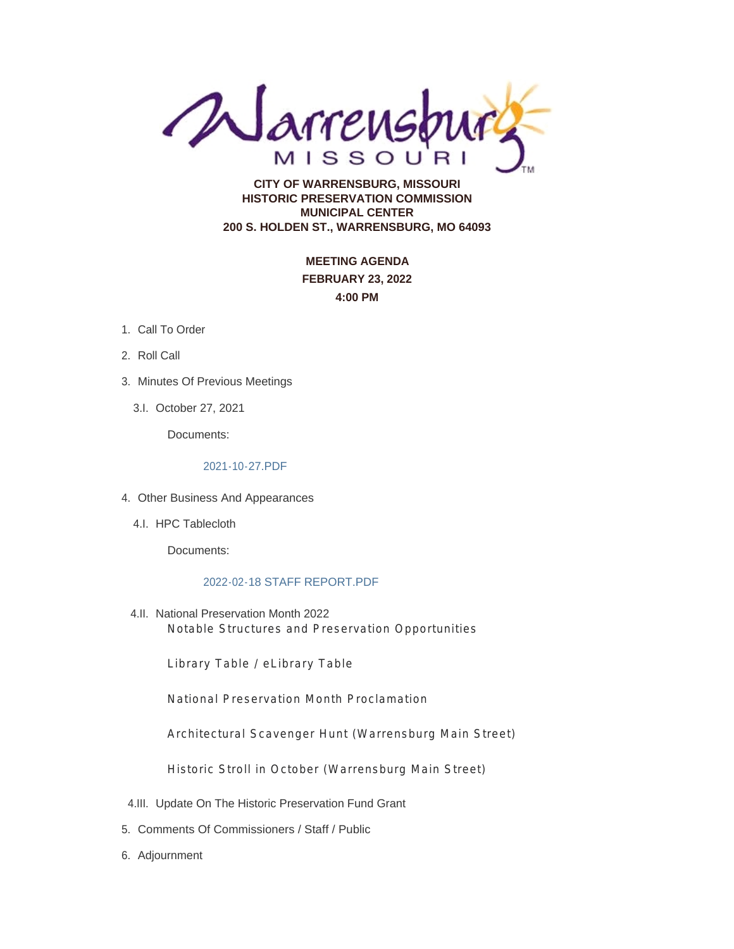**CALL AFTENSON** 

**HISTORIC PRESERVATION COMMISSION MUNICIPAL CENTER 200 S. HOLDEN ST., WARRENSBURG, MO 64093**

> **MEETING AGENDA FEBRUARY 23, 2022 4:00 PM**

- 1. Call To Order
- 2. Roll Call
- 3. Minutes Of Previous Meetings
	- 3.I. October 27, 2021

Documents:

#### 2021-10-27.PDF

- Other Business And Appearances 4.
	- 4.I. HPC Tablecloth

Documents:

#### 2022-02-18 STAFF REPORT.PDF

4.II. National Preservation Month 2022 Notable Structures and Preservation Opportunities

Library Table / eLibrary Table

National Preservation Month Proclamation

Architectural Scavenger Hunt (Warrensburg Main Street)

Historic Stroll in October (Warrensburg Main Street)

- 4.III. Update On The Historic Preservation Fund Grant
- 5. Comments Of Commissioners / Staff / Public
- 6. Adjournment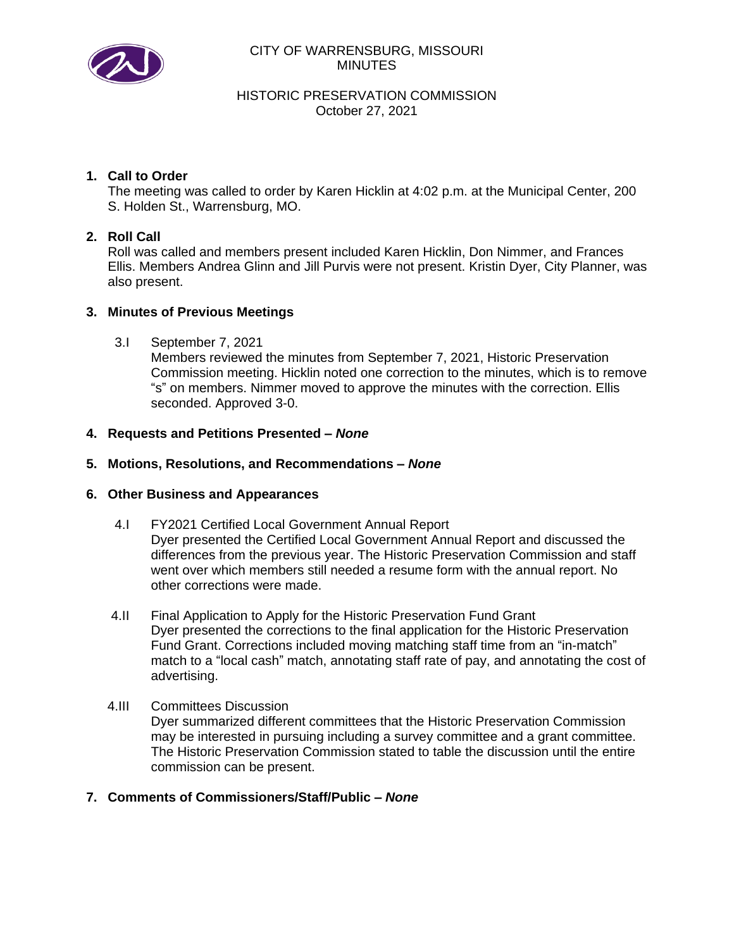

#### CITY OF WARRENSBURG, MISSOURI MINUTES

HISTORIC PRESERVATION COMMISSION October 27, 2021

## **1. Call to Order**

The meeting was called to order by Karen Hicklin at 4:02 p.m. at the Municipal Center, 200 S. Holden St., Warrensburg, MO.

### **2. Roll Call**

Roll was called and members present included Karen Hicklin, Don Nimmer, and Frances Ellis. Members Andrea Glinn and Jill Purvis were not present. Kristin Dyer, City Planner, was also present.

### **3. Minutes of Previous Meetings**

3.I September 7, 2021

Members reviewed the minutes from September 7, 2021, Historic Preservation Commission meeting. Hicklin noted one correction to the minutes, which is to remove "s" on members. Nimmer moved to approve the minutes with the correction. Ellis seconded. Approved 3-0.

### **4. Requests and Petitions Presented –** *None*

#### **5. Motions, Resolutions, and Recommendations –** *None*

#### **6. Other Business and Appearances**

- 4.I FY2021 Certified Local Government Annual Report Dyer presented the Certified Local Government Annual Report and discussed the differences from the previous year. The Historic Preservation Commission and staff went over which members still needed a resume form with the annual report. No other corrections were made.
- 4.II Final Application to Apply for the Historic Preservation Fund Grant Dyer presented the corrections to the final application for the Historic Preservation Fund Grant. Corrections included moving matching staff time from an "in-match" match to a "local cash" match, annotating staff rate of pay, and annotating the cost of advertising.
- 4.III Committees Discussion Dyer summarized different committees that the Historic Preservation Commission may be interested in pursuing including a survey committee and a grant committee. The Historic Preservation Commission stated to table the discussion until the entire commission can be present.
- **7. Comments of Commissioners/Staff/Public –** *None*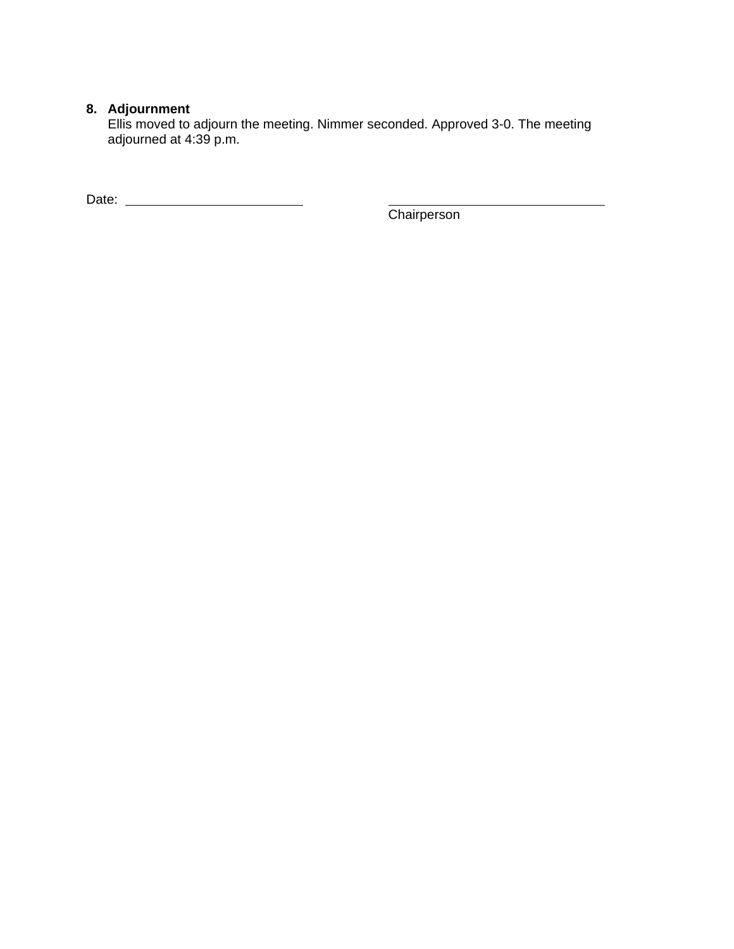# **8. Adjournment**

Ellis moved to adjourn the meeting. Nimmer seconded. Approved 3-0. The meeting adjourned at 4:39 p.m.

Date:

**Chairperson**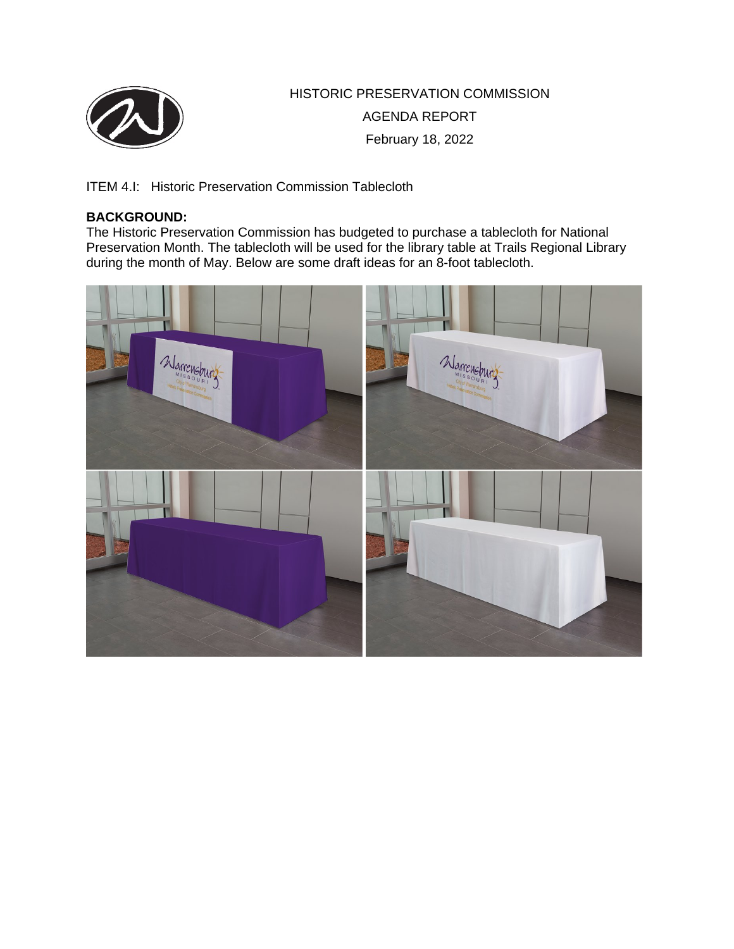

HISTORIC PRESERVATION COMMISSION AGENDA REPORT February 18, 2022

ITEM 4.I: Historic Preservation Commission Tablecloth

## **BACKGROUND:**

The Historic Preservation Commission has budgeted to purchase a tablecloth for National Preservation Month. The tablecloth will be used for the library table at Trails Regional Library during the month of May. Below are some draft ideas for an 8-foot tablecloth.